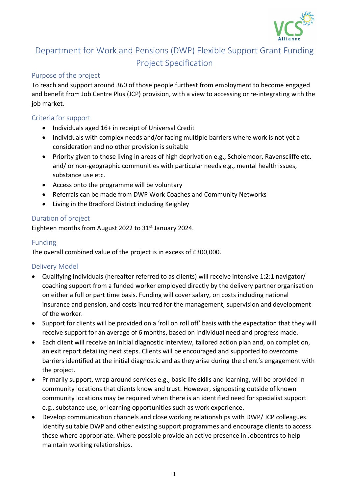

# Department for Work and Pensions (DWP) Flexible Support Grant Funding Project Specification

## Purpose of the project

To reach and support around 360 of those people furthest from employment to become engaged and benefit from Job Centre Plus (JCP) provision, with a view to accessing or re-integrating with the job market.

#### Criteria for support

- Individuals aged 16+ in receipt of Universal Credit
- Individuals with complex needs and/or facing multiple barriers where work is not yet a consideration and no other provision is suitable
- Priority given to those living in areas of high deprivation e.g., Scholemoor, Ravenscliffe etc. and/ or non-geographic communities with particular needs e.g., mental health issues, substance use etc.
- Access onto the programme will be voluntary
- Referrals can be made from DWP Work Coaches and Community Networks
- Living in the Bradford District including Keighley

#### Duration of project

Eighteen months from August 2022 to 31<sup>st</sup> January 2024.

#### Funding

The overall combined value of the project is in excess of £300,000.

## Delivery Model

- Qualifying individuals (hereafter referred to as clients) will receive intensive 1:2:1 navigator/ coaching support from a funded worker employed directly by the delivery partner organisation on either a full or part time basis. Funding will cover salary, on costs including national insurance and pension, and costs incurred for the management, supervision and development of the worker.
- Support for clients will be provided on a 'roll on roll off' basis with the expectation that they will receive support for an average of 6 months, based on individual need and progress made.
- Each client will receive an initial diagnostic interview, tailored action plan and, on completion, an exit report detailing next steps. Clients will be encouraged and supported to overcome barriers identified at the initial diagnostic and as they arise during the client's engagement with the project.
- Primarily support, wrap around services e.g., basic life skills and learning, will be provided in community locations that clients know and trust. However, signposting outside of known community locations may be required when there is an identified need for specialist support e.g., substance use, or learning opportunities such as work experience.
- Develop communication channels and close working relationships with DWP/ JCP colleagues. Identify suitable DWP and other existing support programmes and encourage clients to access these where appropriate. Where possible provide an active presence in Jobcentres to help maintain working relationships.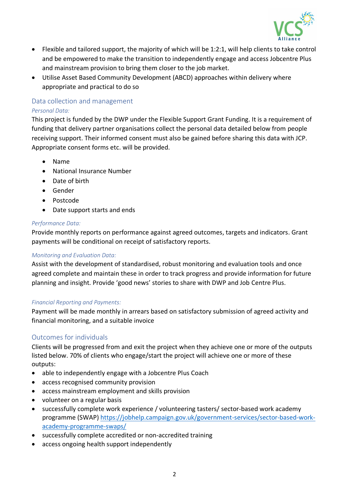

- Flexible and tailored support, the majority of which will be 1:2:1, will help clients to take control and be empowered to make the transition to independently engage and access Jobcentre Plus and mainstream provision to bring them closer to the job market.
- Utilise Asset Based Community Development (ABCD) approaches within delivery where appropriate and practical to do so

#### Data collection and management *Personal Data:*

This project is funded by the DWP under the Flexible Support Grant Funding. It is a requirement of funding that delivery partner organisations collect the personal data detailed below from people receiving support. Their informed consent must also be gained before sharing this data with JCP. Appropriate consent forms etc. will be provided.

- Name
- National Insurance Number
- Date of birth
- Gender
- Postcode
- Date support starts and ends

## *Performance Data:*

Provide monthly reports on performance against agreed outcomes, targets and indicators. Grant payments will be conditional on receipt of satisfactory reports.

## *Monitoring and Evaluation Data:*

Assist with the development of standardised, robust monitoring and evaluation tools and once agreed complete and maintain these in order to track progress and provide information for future planning and insight. Provide 'good news' stories to share with DWP and Job Centre Plus.

## *Financial Reporting and Payments:*

Payment will be made monthly in arrears based on satisfactory submission of agreed activity and financial monitoring, and a suitable invoice

## Outcomes for individuals

Clients will be progressed from and exit the project when they achieve one or more of the outputs listed below. 70% of clients who engage/start the project will achieve one or more of these outputs:

- able to independently engage with a Jobcentre Plus Coach
- access recognised community provision
- access mainstream employment and skills provision
- volunteer on a regular basis
- successfully complete work experience / volunteering tasters/ sector-based work academy programme (SWAP) [https://jobhelp.campaign.gov.uk/government-services/sector-based-work](https://jobhelp.campaign.gov.uk/government-services/sector-based-work-academy-programme-swaps/)[academy-programme-swaps/](https://jobhelp.campaign.gov.uk/government-services/sector-based-work-academy-programme-swaps/)
- successfully complete accredited or non-accredited training
- access ongoing health support independently